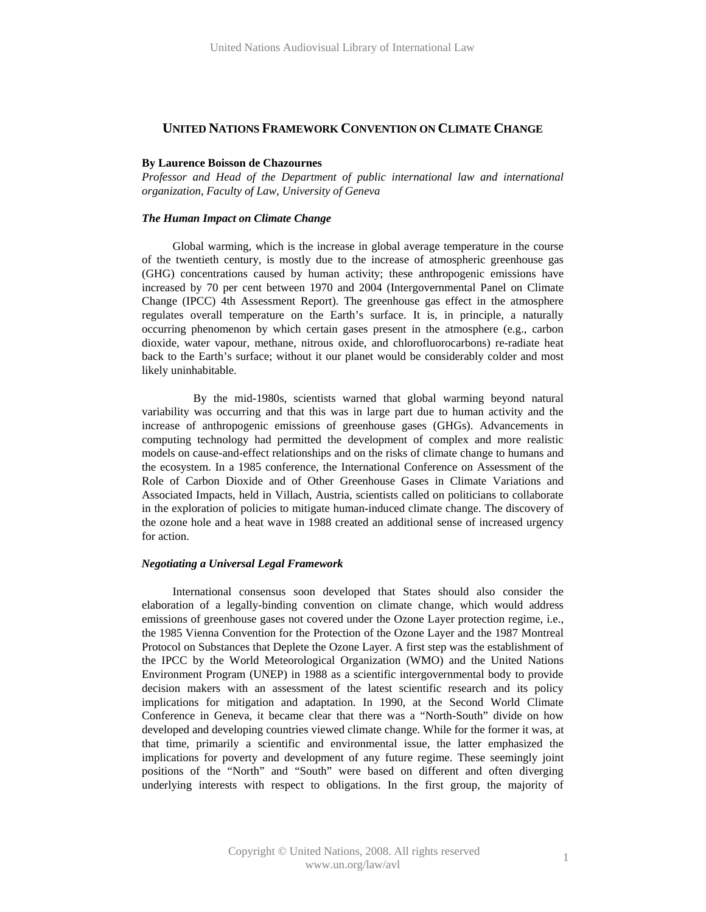# **UNITED NATIONS FRAMEWORK CONVENTION ON CLIMATE CHANGE**

# **By Laurence Boisson de Chazournes**

*Professor and Head of the Department of public international law and international organization, Faculty of Law, University of Geneva* 

# *The Human Impact on Climate Change*

Global warming, which is the increase in global average temperature in the course of the twentieth century, is mostly due to the increase of atmospheric greenhouse gas (GHG) concentrations caused by human activity; these anthropogenic emissions have increased by 70 per cent between 1970 and 2004 (Intergovernmental Panel on Climate Change (IPCC) 4th Assessment Report). The greenhouse gas effect in the atmosphere regulates overall temperature on the Earth's surface. It is, in principle, a naturally occurring phenomenon by which certain gases present in the atmosphere (e.g., carbon dioxide, water vapour, methane, nitrous oxide, and chlorofluorocarbons) re-radiate heat back to the Earth's surface; without it our planet would be considerably colder and most likely uninhabitable.

 By the mid-1980s, scientists warned that global warming beyond natural variability was occurring and that this was in large part due to human activity and the increase of anthropogenic emissions of greenhouse gases (GHGs). Advancements in computing technology had permitted the development of complex and more realistic models on cause-and-effect relationships and on the risks of climate change to humans and the ecosystem. In a 1985 conference, the International Conference on Assessment of the Role of Carbon Dioxide and of Other Greenhouse Gases in Climate Variations and Associated Impacts, held in Villach, Austria, scientists called on politicians to collaborate in the exploration of policies to mitigate human-induced climate change. The discovery of the ozone hole and a heat wave in 1988 created an additional sense of increased urgency for action.

# *Negotiating a Universal Legal Framework*

International consensus soon developed that States should also consider the elaboration of a legally-binding convention on climate change, which would address emissions of greenhouse gases not covered under the Ozone Layer protection regime, i.e., the 1985 Vienna Convention for the Protection of the Ozone Layer and the 1987 Montreal Protocol on Substances that Deplete the Ozone Layer. A first step was the establishment of the IPCC by the World Meteorological Organization (WMO) and the United Nations Environment Program (UNEP) in 1988 as a scientific intergovernmental body to provide decision makers with an assessment of the latest scientific research and its policy implications for mitigation and adaptation. In 1990, at the Second World Climate Conference in Geneva, it became clear that there was a "North-South" divide on how developed and developing countries viewed climate change. While for the former it was, at that time, primarily a scientific and environmental issue, the latter emphasized the implications for poverty and development of any future regime. These seemingly joint positions of the "North" and "South" were based on different and often diverging underlying interests with respect to obligations. In the first group, the majority of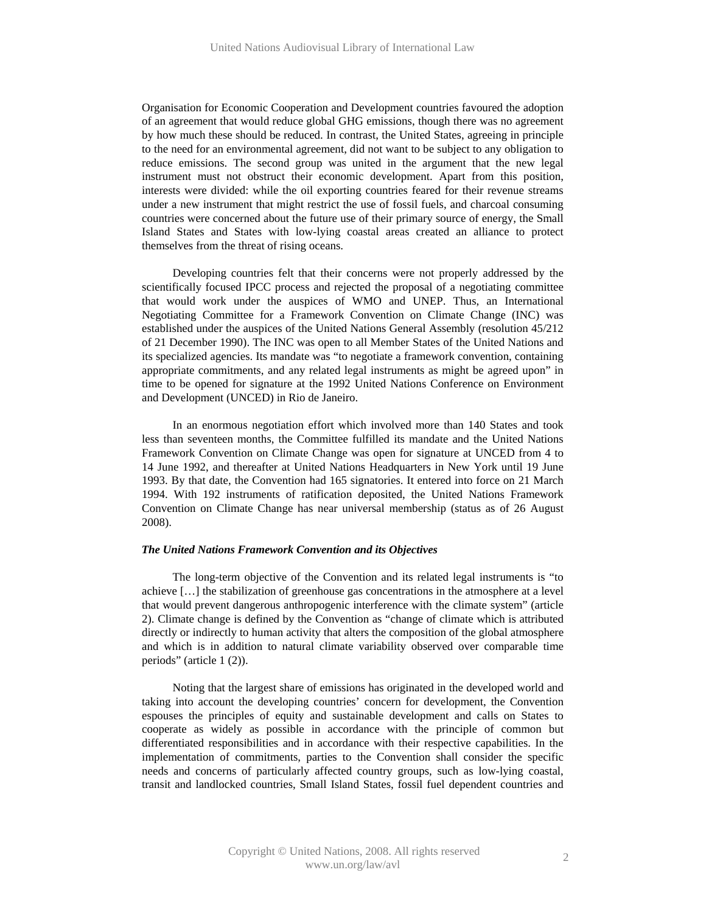Organisation for Economic Cooperation and Development countries favoured the adoption of an agreement that would reduce global GHG emissions, though there was no agreement by how much these should be reduced. In contrast, the United States, agreeing in principle to the need for an environmental agreement, did not want to be subject to any obligation to reduce emissions. The second group was united in the argument that the new legal instrument must not obstruct their economic development. Apart from this position, interests were divided: while the oil exporting countries feared for their revenue streams under a new instrument that might restrict the use of fossil fuels, and charcoal consuming countries were concerned about the future use of their primary source of energy, the Small Island States and States with low-lying coastal areas created an alliance to protect themselves from the threat of rising oceans.

Developing countries felt that their concerns were not properly addressed by the scientifically focused IPCC process and rejected the proposal of a negotiating committee that would work under the auspices of WMO and UNEP. Thus, an International Negotiating Committee for a Framework Convention on Climate Change (INC) was established under the auspices of the United Nations General Assembly (resolution 45/212 of 21 December 1990). The INC was open to all Member States of the United Nations and its specialized agencies. Its mandate was "to negotiate a framework convention, containing appropriate commitments, and any related legal instruments as might be agreed upon" in time to be opened for signature at the 1992 United Nations Conference on Environment and Development (UNCED) in Rio de Janeiro.

In an enormous negotiation effort which involved more than 140 States and took less than seventeen months, the Committee fulfilled its mandate and the United Nations Framework Convention on Climate Change was open for signature at UNCED from 4 to 14 June 1992, and thereafter at United Nations Headquarters in New York until 19 June 1993. By that date, the Convention had 165 signatories. It entered into force on 21 March 1994. With 192 instruments of ratification deposited, the United Nations Framework Convention on Climate Change has near universal membership (status as of 26 August 2008).

# *The United Nations Framework Convention and its Objectives*

The long-term objective of the Convention and its related legal instruments is "to achieve […] the stabilization of greenhouse gas concentrations in the atmosphere at a level that would prevent dangerous anthropogenic interference with the climate system" (article 2). Climate change is defined by the Convention as "change of climate which is attributed directly or indirectly to human activity that alters the composition of the global atmosphere and which is in addition to natural climate variability observed over comparable time periods" (article 1 (2)).

Noting that the largest share of emissions has originated in the developed world and taking into account the developing countries' concern for development, the Convention espouses the principles of equity and sustainable development and calls on States to cooperate as widely as possible in accordance with the principle of common but differentiated responsibilities and in accordance with their respective capabilities. In the implementation of commitments, parties to the Convention shall consider the specific needs and concerns of particularly affected country groups, such as low-lying coastal, transit and landlocked countries, Small Island States, fossil fuel dependent countries and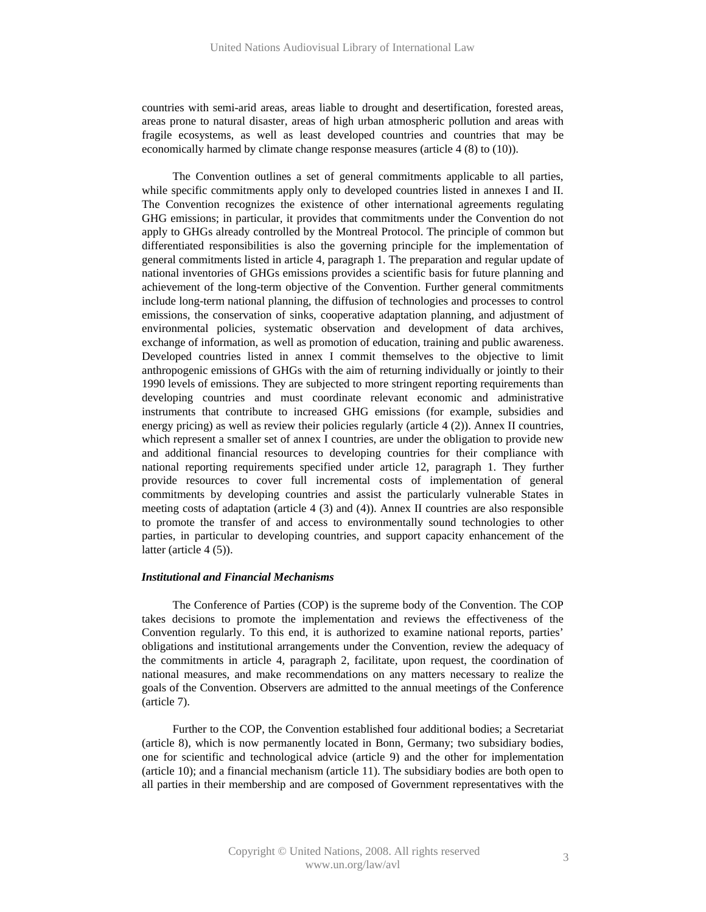countries with semi-arid areas, areas liable to drought and desertification, forested areas, areas prone to natural disaster, areas of high urban atmospheric pollution and areas with fragile ecosystems, as well as least developed countries and countries that may be economically harmed by climate change response measures (article 4 (8) to (10)).

The Convention outlines a set of general commitments applicable to all parties, while specific commitments apply only to developed countries listed in annexes I and II. The Convention recognizes the existence of other international agreements regulating GHG emissions; in particular, it provides that commitments under the Convention do not apply to GHGs already controlled by the Montreal Protocol. The principle of common but differentiated responsibilities is also the governing principle for the implementation of general commitments listed in article 4, paragraph 1. The preparation and regular update of national inventories of GHGs emissions provides a scientific basis for future planning and achievement of the long-term objective of the Convention. Further general commitments include long-term national planning, the diffusion of technologies and processes to control emissions, the conservation of sinks, cooperative adaptation planning, and adjustment of environmental policies, systematic observation and development of data archives, exchange of information, as well as promotion of education, training and public awareness. Developed countries listed in annex I commit themselves to the objective to limit anthropogenic emissions of GHGs with the aim of returning individually or jointly to their 1990 levels of emissions. They are subjected to more stringent reporting requirements than developing countries and must coordinate relevant economic and administrative instruments that contribute to increased GHG emissions (for example, subsidies and energy pricing) as well as review their policies regularly (article 4 (2)). Annex II countries, which represent a smaller set of annex I countries, are under the obligation to provide new and additional financial resources to developing countries for their compliance with national reporting requirements specified under article 12, paragraph 1. They further provide resources to cover full incremental costs of implementation of general commitments by developing countries and assist the particularly vulnerable States in meeting costs of adaptation (article 4 (3) and (4)). Annex II countries are also responsible to promote the transfer of and access to environmentally sound technologies to other parties, in particular to developing countries, and support capacity enhancement of the latter (article 4 (5)).

# *Institutional and Financial Mechanisms*

The Conference of Parties (COP) is the supreme body of the Convention. The COP takes decisions to promote the implementation and reviews the effectiveness of the Convention regularly. To this end, it is authorized to examine national reports, parties' obligations and institutional arrangements under the Convention, review the adequacy of the commitments in article 4, paragraph 2, facilitate, upon request, the coordination of national measures, and make recommendations on any matters necessary to realize the goals of the Convention. Observers are admitted to the annual meetings of the Conference (article 7).

Further to the COP, the Convention established four additional bodies; a Secretariat (article 8), which is now permanently located in Bonn, Germany; two subsidiary bodies, one for scientific and technological advice (article 9) and the other for implementation (article 10); and a financial mechanism (article 11). The subsidiary bodies are both open to all parties in their membership and are composed of Government representatives with the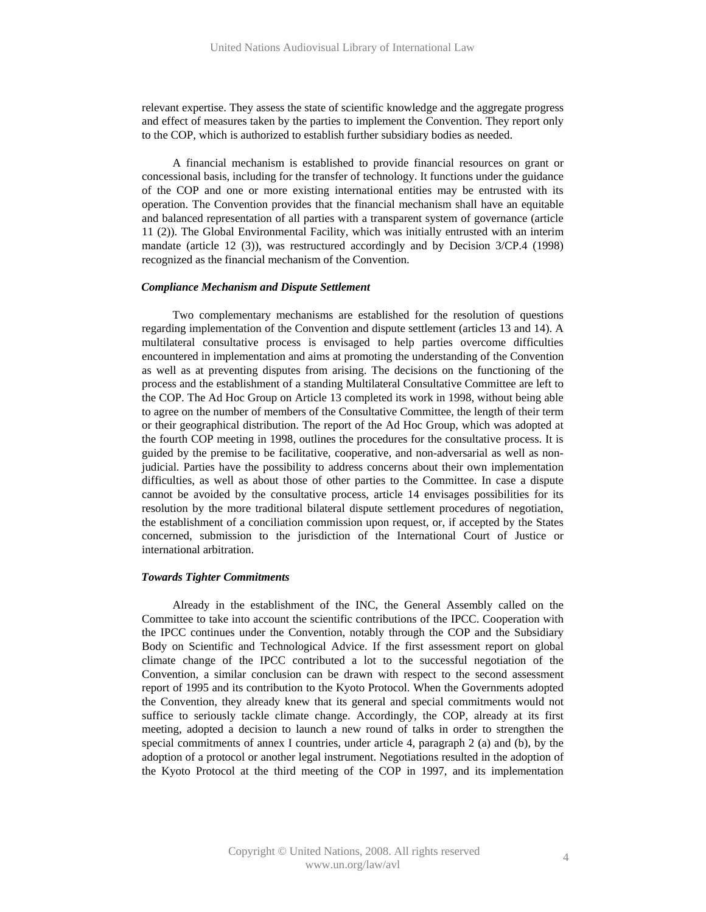relevant expertise. They assess the state of scientific knowledge and the aggregate progress and effect of measures taken by the parties to implement the Convention. They report only to the COP, which is authorized to establish further subsidiary bodies as needed.

A financial mechanism is established to provide financial resources on grant or concessional basis, including for the transfer of technology. It functions under the guidance of the COP and one or more existing international entities may be entrusted with its operation. The Convention provides that the financial mechanism shall have an equitable and balanced representation of all parties with a transparent system of governance (article 11 (2)). The Global Environmental Facility, which was initially entrusted with an interim mandate (article 12 (3)), was restructured accordingly and by Decision 3/CP.4 (1998) recognized as the financial mechanism of the Convention.

# *Compliance Mechanism and Dispute Settlement*

Two complementary mechanisms are established for the resolution of questions regarding implementation of the Convention and dispute settlement (articles 13 and 14). A multilateral consultative process is envisaged to help parties overcome difficulties encountered in implementation and aims at promoting the understanding of the Convention as well as at preventing disputes from arising. The decisions on the functioning of the process and the establishment of a standing Multilateral Consultative Committee are left to the COP. The Ad Hoc Group on Article 13 completed its work in 1998, without being able to agree on the number of members of the Consultative Committee, the length of their term or their geographical distribution. The report of the Ad Hoc Group, which was adopted at the fourth COP meeting in 1998, outlines the procedures for the consultative process. It is guided by the premise to be facilitative, cooperative, and non-adversarial as well as nonjudicial. Parties have the possibility to address concerns about their own implementation difficulties, as well as about those of other parties to the Committee. In case a dispute cannot be avoided by the consultative process, article 14 envisages possibilities for its resolution by the more traditional bilateral dispute settlement procedures of negotiation, the establishment of a conciliation commission upon request, or, if accepted by the States concerned, submission to the jurisdiction of the International Court of Justice or international arbitration.

# *Towards Tighter Commitments*

Already in the establishment of the INC, the General Assembly called on the Committee to take into account the scientific contributions of the IPCC. Cooperation with the IPCC continues under the Convention, notably through the COP and the Subsidiary Body on Scientific and Technological Advice. If the first assessment report on global climate change of the IPCC contributed a lot to the successful negotiation of the Convention, a similar conclusion can be drawn with respect to the second assessment report of 1995 and its contribution to the Kyoto Protocol. When the Governments adopted the Convention, they already knew that its general and special commitments would not suffice to seriously tackle climate change. Accordingly, the COP, already at its first meeting, adopted a decision to launch a new round of talks in order to strengthen the special commitments of annex I countries, under article 4, paragraph 2 (a) and (b), by the adoption of a protocol or another legal instrument. Negotiations resulted in the adoption of the Kyoto Protocol at the third meeting of the COP in 1997, and its implementation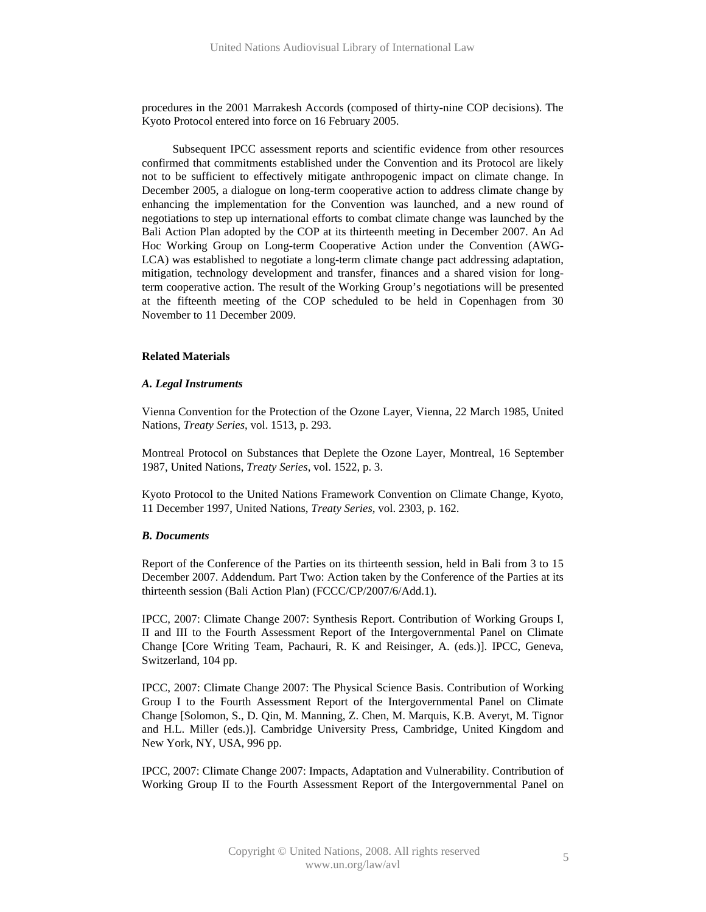procedures in the 2001 Marrakesh Accords (composed of thirty-nine COP decisions). The Kyoto Protocol entered into force on 16 February 2005.

Subsequent IPCC assessment reports and scientific evidence from other resources confirmed that commitments established under the Convention and its Protocol are likely not to be sufficient to effectively mitigate anthropogenic impact on climate change. In December 2005, a dialogue on long-term cooperative action to address climate change by enhancing the implementation for the Convention was launched, and a new round of negotiations to step up international efforts to combat climate change was launched by the Bali Action Plan adopted by the COP at its thirteenth meeting in December 2007. An Ad Hoc Working Group on Long-term Cooperative Action under the Convention (AWG-LCA) was established to negotiate a long-term climate change pact addressing adaptation, mitigation, technology development and transfer, finances and a shared vision for longterm cooperative action. The result of the Working Group's negotiations will be presented at the fifteenth meeting of the COP scheduled to be held in Copenhagen from 30 November to 11 December 2009.

# **Related Materials**

#### *A. Legal Instruments*

Vienna Convention for the Protection of the Ozone Layer, Vienna, 22 March 1985, United Nations, *Treaty Series*, vol. 1513, p. 293.

Montreal Protocol on Substances that Deplete the Ozone Layer, Montreal, 16 September 1987, United Nations, *Treaty Series*, vol. 1522, p. 3.

Kyoto Protocol to the United Nations Framework Convention on Climate Change, Kyoto, 11 December 1997, United Nations, *Treaty Series*, vol. 2303, p. 162.

# *B. Documents*

Report of the Conference of the Parties on its thirteenth session, held in Bali from 3 to 15 December 2007. Addendum. Part Two: Action taken by the Conference of the Parties at its thirteenth session (Bali Action Plan) (FCCC/CP/2007/6/Add.1).

IPCC, 2007: Climate Change 2007: Synthesis Report. Contribution of Working Groups I, II and III to the Fourth Assessment Report of the Intergovernmental Panel on Climate Change [Core Writing Team, Pachauri, R. K and Reisinger, A. (eds.)]. IPCC, Geneva, Switzerland, 104 pp.

IPCC, 2007: Climate Change 2007: The Physical Science Basis. Contribution of Working Group I to the Fourth Assessment Report of the Intergovernmental Panel on Climate Change [Solomon, S., D. Qin, M. Manning, Z. Chen, M. Marquis, K.B. Averyt, M. Tignor and H.L. Miller (eds.)]. Cambridge University Press, Cambridge, United Kingdom and New York, NY, USA, 996 pp.

IPCC, 2007: Climate Change 2007: Impacts, Adaptation and Vulnerability. Contribution of Working Group II to the Fourth Assessment Report of the Intergovernmental Panel on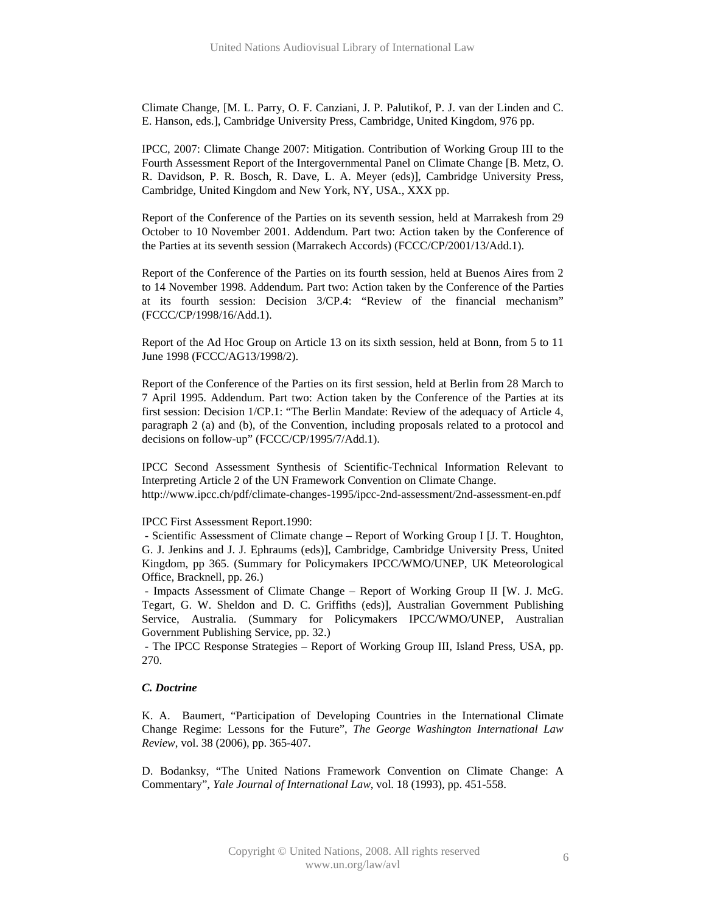Climate Change, [M. L. Parry, O. F. Canziani, J. P. Palutikof, P. J. van der Linden and C. E. Hanson, eds.], Cambridge University Press, Cambridge, United Kingdom, 976 pp.

IPCC, 2007: Climate Change 2007: Mitigation. Contribution of Working Group III to the Fourth Assessment Report of the Intergovernmental Panel on Climate Change [B. Metz, O. R. Davidson, P. R. Bosch, R. Dave, L. A. Meyer (eds)], Cambridge University Press, Cambridge, United Kingdom and New York, NY, USA., XXX pp.

Report of the Conference of the Parties on its seventh session, held at Marrakesh from 29 October to 10 November 2001. Addendum. Part two: Action taken by the Conference of the Parties at its seventh session (Marrakech Accords) (FCCC/CP/2001/13/Add.1).

Report of the Conference of the Parties on its fourth session, held at Buenos Aires from 2 to 14 November 1998. Addendum. Part two: Action taken by the Conference of the Parties at its fourth session: Decision 3/CP.4: "Review of the financial mechanism" (FCCC/CP/1998/16/Add.1).

Report of the Ad Hoc Group on Article 13 on its sixth session, held at Bonn, from 5 to 11 June 1998 (FCCC/AG13/1998/2).

Report of the Conference of the Parties on its first session, held at Berlin from 28 March to 7 April 1995. Addendum. Part two: Action taken by the Conference of the Parties at its first session: Decision 1/CP.1: "The Berlin Mandate: Review of the adequacy of Article 4, paragraph 2 (a) and (b), of the Convention, including proposals related to a protocol and decisions on follow-up" (FCCC/CP/1995/7/Add.1).

IPCC Second Assessment Synthesis of Scientific-Technical Information Relevant to Interpreting Article 2 of the UN Framework Convention on Climate Change. http://www.ipcc.ch/pdf/climate-changes-1995/ipcc-2nd-assessment/2nd-assessment-en.pdf

# IPCC First Assessment Report.1990:

 - Scientific Assessment of Climate change – Report of Working Group I [J. T. Houghton, G. J. Jenkins and J. J. Ephraums (eds)], Cambridge, Cambridge University Press, United Kingdom, pp 365. (Summary for Policymakers IPCC/WMO/UNEP, UK Meteorological Office, Bracknell, pp. 26.)

 - Impacts Assessment of Climate Change – Report of Working Group II [W. J. McG. Tegart, G. W. Sheldon and D. C. Griffiths (eds)], Australian Government Publishing Service, Australia. (Summary for Policymakers IPCC/WMO/UNEP, Australian Government Publishing Service, pp. 32.)

 - The IPCC Response Strategies – Report of Working Group III, Island Press, USA, pp. 270.

# *C. Doctrine*

K. A. Baumert, "Participation of Developing Countries in the International Climate Change Regime: Lessons for the Future", *The George Washington International Law Review*, vol. 38 (2006), pp. 365-407.

D. Bodanksy, "The United Nations Framework Convention on Climate Change: A Commentary", *Yale Journal of International Law*, vol. 18 (1993), pp. 451-558.